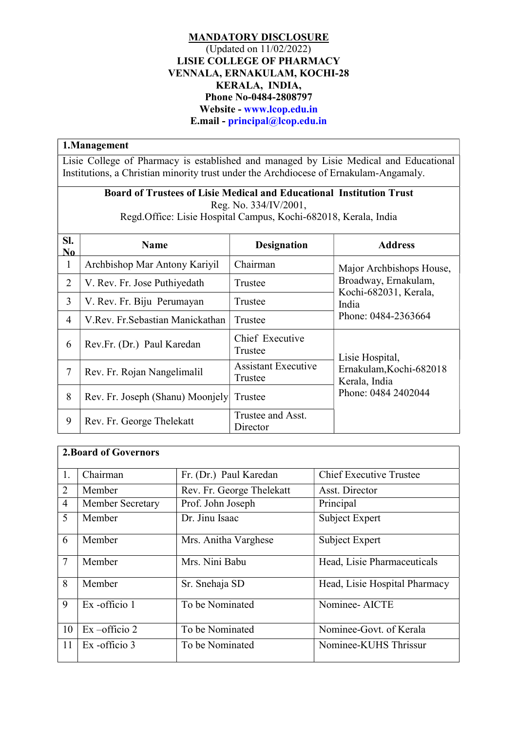## MANDATORY DISCLOSURE (Updated on 11/02/2022) LISIE COLLEGE OF PHARMACY VENNALA, ERNAKULAM, KOCHI-28 KERALA, INDIA, Phone No-0484-2808797 Website - www.lcop.edu.in E.mail - principal@lcop.edu.in

## 1.Management

Lisie College of Pharmacy is established and managed by Lisie Medical and Educational Institutions, a Christian minority trust under the Archdiocese of Ernakulam-Angamaly.

## Board of Trustees of Lisie Medical and Educational Institution Trust Reg. No. 334/IV/2001,

Regd.Office: Lisie Hospital Campus, Kochi-682018, Kerala, India

| SI.<br>No.     | <b>Name</b>                      | <b>Designation</b>                    | <b>Address</b>                                   |  |
|----------------|----------------------------------|---------------------------------------|--------------------------------------------------|--|
| $\mathbf{1}$   | Archbishop Mar Antony Kariyil    | Chairman                              | Major Archbishops House,<br>Broadway, Ernakulam, |  |
| $\overline{2}$ | V. Rev. Fr. Jose Puthiyedath     | Trustee                               |                                                  |  |
| 3              | V. Rev. Fr. Biju Perumayan       | Trustee                               | Kochi-682031, Kerala,<br>India                   |  |
| $\overline{4}$ | V.Rev. Fr.Sebastian Manickathan  | Trustee                               | Phone: 0484-2363664                              |  |
| 6              | Rev.Fr. (Dr.) Paul Karedan       | Chief Executive<br>Trustee            | Lisie Hospital,                                  |  |
| 7              | Rev. Fr. Rojan Nangelimalil      | <b>Assistant Executive</b><br>Trustee | Ernakulam, Kochi-682018<br>Kerala, India         |  |
| 8              | Rev. Fr. Joseph (Shanu) Moonjely | Trustee                               | Phone: 0484 2402044                              |  |
| 9              | Rev. Fr. George Thelekatt        | Trustee and Asst.<br>Director         |                                                  |  |

| <b>2.Board of Governors</b> |                          |                           |                                |  |  |
|-----------------------------|--------------------------|---------------------------|--------------------------------|--|--|
| 1.                          | Chairman                 | Fr. (Dr.) Paul Karedan    | <b>Chief Executive Trustee</b> |  |  |
| 2                           | Member                   | Rev. Fr. George Thelekatt | Asst. Director                 |  |  |
| $\overline{4}$              | <b>Member Secretary</b>  | Prof. John Joseph         | Principal                      |  |  |
| 5                           | Member                   | Dr. Jinu Isaac            | Subject Expert                 |  |  |
| 6                           | Member                   | Mrs. Anitha Varghese      | Subject Expert                 |  |  |
| $\overline{7}$              | Member                   | Mrs. Nini Babu            | Head, Lisie Pharmaceuticals    |  |  |
| 8                           | Member                   | Sr. Snehaja SD            | Head, Lisie Hospital Pharmacy  |  |  |
| 9                           | Ex-officio 1             | To be Nominated           | Nominee- AICTE                 |  |  |
| 10                          | $Ex - \text{officio } 2$ | To be Nominated           | Nominee-Govt. of Kerala        |  |  |
| 11                          | $Ex - \text{officio}$ 3  | To be Nominated           | Nominee-KUHS Thrissur          |  |  |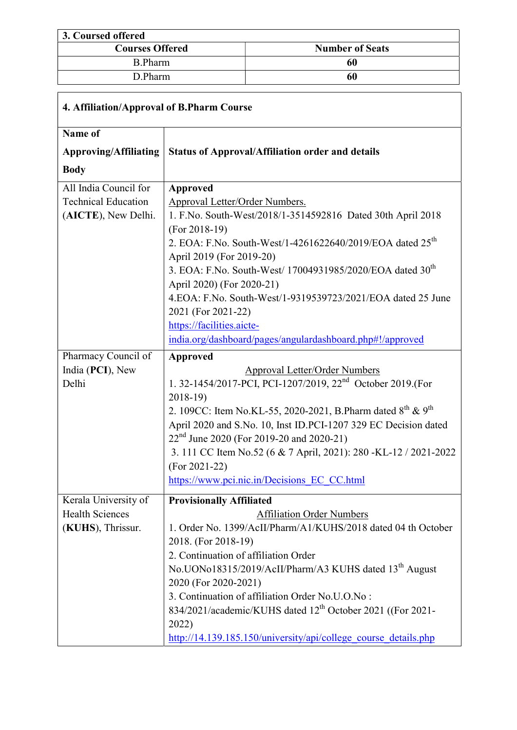## 3. Coursed offered<br>Courses Offered **Number of Seats** B.Pharm 60 D.Pharm 60

 $\lceil$ 

| 4. Affiliation/Approval of B.Pharm Course |                                                                                                    |  |  |  |
|-------------------------------------------|----------------------------------------------------------------------------------------------------|--|--|--|
| Name of                                   |                                                                                                    |  |  |  |
| <b>Approving/Affiliating</b>              | <b>Status of Approval/Affiliation order and details</b>                                            |  |  |  |
| <b>Body</b>                               |                                                                                                    |  |  |  |
| All India Council for                     | <b>Approved</b>                                                                                    |  |  |  |
| <b>Technical Education</b>                | Approval Letter/Order Numbers.                                                                     |  |  |  |
| (AICTE), New Delhi.                       | 1. F.No. South-West/2018/1-3514592816 Dated 30th April 2018                                        |  |  |  |
|                                           | $(For 2018-19)$                                                                                    |  |  |  |
|                                           | 2. EOA: F.No. South-West/1-4261622640/2019/EOA dated 25 <sup>th</sup><br>April 2019 (For 2019-20)  |  |  |  |
|                                           | 3. EOA: F.No. South-West/ 17004931985/2020/EOA dated 30 <sup>th</sup><br>April 2020) (For 2020-21) |  |  |  |
|                                           | 4. EOA: F. No. South-West/1-9319539723/2021/EOA dated 25 June                                      |  |  |  |
|                                           | 2021 (For 2021-22)                                                                                 |  |  |  |
|                                           | https://facilities.aicte-                                                                          |  |  |  |
|                                           | india.org/dashboard/pages/angulardashboard.php#!/approved                                          |  |  |  |
| Pharmacy Council of                       | Approved                                                                                           |  |  |  |
| India (PCI), New                          | <b>Approval Letter/Order Numbers</b>                                                               |  |  |  |
| Delhi                                     | 1. 32-1454/2017-PCI, PCI-1207/2019, 22 <sup>nd</sup> October 2019.(For<br>$2018-19$                |  |  |  |
|                                           | 2. 109CC: Item No.KL-55, 2020-2021, B.Pharm dated $8^{th}$ & $9^{th}$                              |  |  |  |
|                                           | April 2020 and S.No. 10, Inst ID.PCI-1207 329 EC Decision dated                                    |  |  |  |
|                                           | 22 <sup>nd</sup> June 2020 (For 2019-20 and 2020-21)                                               |  |  |  |
|                                           | 3. 111 CC Item No.52 (6 & 7 April, 2021): 280 -KL-12 / 2021-2022                                   |  |  |  |
|                                           | $(For 2021-22)$                                                                                    |  |  |  |
|                                           | https://www.pci.nic.in/Decisions EC CC.html                                                        |  |  |  |
| Kerala University of                      | <b>Provisionally Affiliated</b>                                                                    |  |  |  |
| <b>Health Sciences</b>                    | <b>Affiliation Order Numbers</b>                                                                   |  |  |  |
| (KUHS), Thrissur.                         | 1. Order No. 1399/AcII/Pharm/A1/KUHS/2018 dated 04 th October                                      |  |  |  |
|                                           | 2018. (For 2018-19)                                                                                |  |  |  |
|                                           | 2. Continuation of affiliation Order                                                               |  |  |  |
|                                           | No.UONo18315/2019/AcII/Pharm/A3 KUHS dated 13 <sup>th</sup> August                                 |  |  |  |
|                                           | 2020 (For 2020-2021)                                                                               |  |  |  |
|                                           | 3. Continuation of affiliation Order No.U.O.No:                                                    |  |  |  |
|                                           | 834/2021/academic/KUHS dated 12 <sup>th</sup> October 2021 ((For 2021-                             |  |  |  |
|                                           | 2022)                                                                                              |  |  |  |
|                                           | http://14.139.185.150/university/api/college course details.php                                    |  |  |  |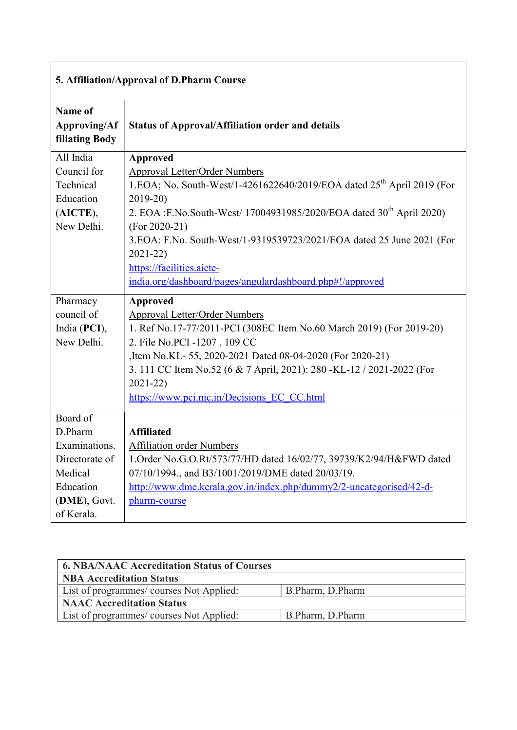| 5. Affiliation/Approval of D.Pharm Course               |                                                                                    |  |  |  |  |
|---------------------------------------------------------|------------------------------------------------------------------------------------|--|--|--|--|
| Name of<br><b>Approving/Af</b><br><b>filiating Body</b> | <b>Status of Approval/Affiliation order and details</b>                            |  |  |  |  |
| All India                                               | <b>Approved</b>                                                                    |  |  |  |  |
| Council for                                             | <b>Approval Letter/Order Numbers</b>                                               |  |  |  |  |
| Technical                                               | 1.EOA; No. South-West/1-4261622640/2019/EOA dated 25 <sup>th</sup> April 2019 (For |  |  |  |  |
| Education                                               | $2019 - 20$                                                                        |  |  |  |  |
| (AICTE),                                                | 2. EOA :F.No.South-West/ 17004931985/2020/EOA dated 30 <sup>th</sup> April 2020)   |  |  |  |  |
| New Delhi.                                              | $(For 2020-21)$                                                                    |  |  |  |  |
|                                                         | 3.EOA: F.No. South-West/1-9319539723/2021/EOA dated 25 June 2021 (For              |  |  |  |  |
|                                                         | $2021 - 22)$                                                                       |  |  |  |  |
|                                                         | https://facilities.aicte-                                                          |  |  |  |  |
|                                                         | india.org/dashboard/pages/angulardashboard.php#!/approved                          |  |  |  |  |
| Pharmacy                                                | <b>Approved</b>                                                                    |  |  |  |  |
| council of                                              | <b>Approval Letter/Order Numbers</b>                                               |  |  |  |  |
| India (PCI),                                            | 1. Ref No.17-77/2011-PCI (308EC Item No.60 March 2019) (For 2019-20)               |  |  |  |  |
| New Delhi.                                              | 2. File No. PCI - 1207, 109 CC                                                     |  |  |  |  |
|                                                         | ,Item No.KL- 55, 2020-2021 Dated 08-04-2020 (For 2020-21)                          |  |  |  |  |
|                                                         | 3. 111 CC Item No.52 (6 & 7 April, 2021): 280 -KL-12 / 2021-2022 (For              |  |  |  |  |
|                                                         |                                                                                    |  |  |  |  |
|                                                         | $2021 - 22)$                                                                       |  |  |  |  |
|                                                         | https://www.pci.nic.in/Decisions EC CC.html                                        |  |  |  |  |
| Board of                                                |                                                                                    |  |  |  |  |
| D.Pharm                                                 | <b>Affiliated</b>                                                                  |  |  |  |  |
| Examinations.                                           | <b>Affiliation order Numbers</b>                                                   |  |  |  |  |
| Directorate of                                          | 1. Order No.G.O.Rt/573/77/HD dated 16/02/77, 39739/K2/94/H&FWD dated               |  |  |  |  |
| Medical                                                 | 07/10/1994., and B3/1001/2019/DME dated 20/03/19.                                  |  |  |  |  |
| Education                                               | http://www.dme.kerala.gov.in/index.php/dummy2/2-uncategorised/42-d-                |  |  |  |  |
| (DME), Govt.                                            | pharm-course                                                                       |  |  |  |  |

| <b>6. NBA/NAAC Accreditation Status of Courses</b> |                  |  |  |  |  |
|----------------------------------------------------|------------------|--|--|--|--|
| <b>NBA Accreditation Status</b>                    |                  |  |  |  |  |
| List of programmes/courses Not Applied:            | B.Pharm, D.Pharm |  |  |  |  |
| <b>NAAC Accreditation Status</b>                   |                  |  |  |  |  |
| List of programmes/courses Not Applied:            | B.Pharm, D.Pharm |  |  |  |  |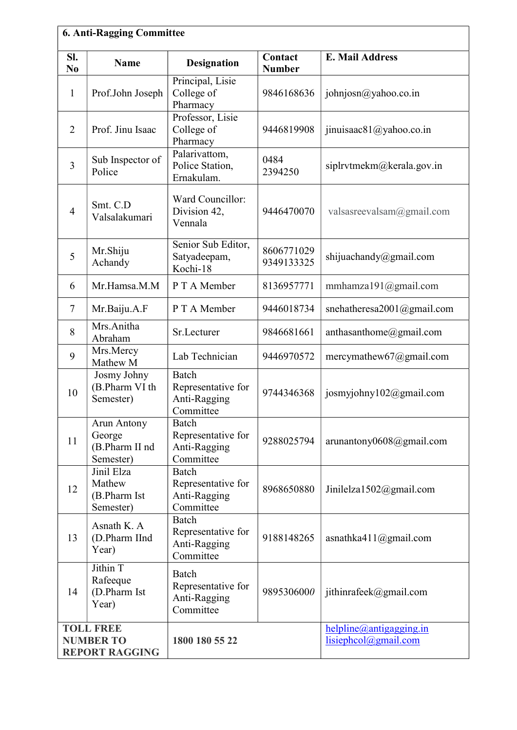| <b>6. Anti-Ragging Committee</b> |                                                      |                                                                        |                          |                                                  |  |  |
|----------------------------------|------------------------------------------------------|------------------------------------------------------------------------|--------------------------|--------------------------------------------------|--|--|
| SI.<br>N <sub>0</sub>            | <b>Name</b>                                          | <b>Designation</b>                                                     | Contact<br><b>Number</b> | <b>E. Mail Address</b>                           |  |  |
| $\mathbf{1}$                     | Prof.John Joseph                                     | Principal, Lisie<br>College of<br>Pharmacy                             | 9846168636               | johnjosn $\omega$ yahoo.co.in                    |  |  |
| $\overline{2}$                   | Prof. Jinu Isaac                                     | Professor, Lisie<br>College of<br>Pharmacy                             | 9446819908               | jinuisaac $81$ @yahoo.co.in                      |  |  |
| $\overline{3}$                   | Sub Inspector of<br>Police                           | Palarivattom,<br>Police Station,<br>Ernakulam.                         | 0484<br>2394250          | siplrvtmekm@kerala.gov.in                        |  |  |
| $\overline{4}$                   | Smt. C.D<br>Valsalakumari                            | Ward Councillor:<br>Division 42,<br>Vennala                            | 9446470070               | valsasreevalsam $@g$ mail.com                    |  |  |
| 5                                | Mr.Shiju<br>Achandy                                  | Senior Sub Editor,<br>Satyadeepam,<br>Kochi-18                         | 8606771029<br>9349133325 | shijuachandy@gmail.com                           |  |  |
| 6                                | Mr.Hamsa.M.M                                         | P T A Member                                                           | 8136957771               | mmhamza191@gmail.com                             |  |  |
| $\tau$                           | Mr.Baiju.A.F                                         | P T A Member                                                           | 9446018734               | snehatheresa2001@gmail.com                       |  |  |
| 8                                | Mrs.Anitha<br>Abraham                                | Sr.Lecturer                                                            | 9846681661               | anthasanthome@gmail.com                          |  |  |
| 9                                | Mrs.Mercy<br>Mathew M                                | Lab Technician                                                         | 9446970572               | mercymathew67@gmail.com                          |  |  |
| 10                               | Josmy Johny<br>(B.Pharm VI th<br>Semester)           | Batch<br>Representative for<br>Anti-Ragging<br>Committee               | 9744346368               | josmyjohny $102@$ gmail.com                      |  |  |
| 11                               | Arun Antony<br>George<br>(B.Pharm II nd<br>Semester) | Batch<br>Representative for<br>Anti-Ragging<br>Committee               | 9288025794               | arunantony0608@gmail.com                         |  |  |
| 12                               | Jinil Elza<br>Mathew<br>(B.Pharm Ist<br>Semester)    | Batch<br>Representative for<br>Anti-Ragging<br>Committee               | 8968650880               | Jinilelza1502@gmail.com                          |  |  |
| 13                               | Asnath K. A<br>(D.Pharm IInd<br>Year)                | Batch<br>Representative for<br>Anti-Ragging<br>Committee               | 9188148265               | asnathka411@gmail.com                            |  |  |
| 14                               | Jithin T<br>Rafeeque<br>(D.Pharm Ist<br>Year)        | Batch<br>Representative for<br>9895306000<br>Anti-Ragging<br>Committee |                          | jithinrafeek@gmail.com                           |  |  |
|                                  | <b>TOLL FREE</b><br><b>NUMBER TO</b>                 | 1800 180 55 22                                                         |                          | helpline @antigagging.in<br>lisiephcol@gmail.com |  |  |
| <b>REPORT RAGGING</b>            |                                                      |                                                                        |                          |                                                  |  |  |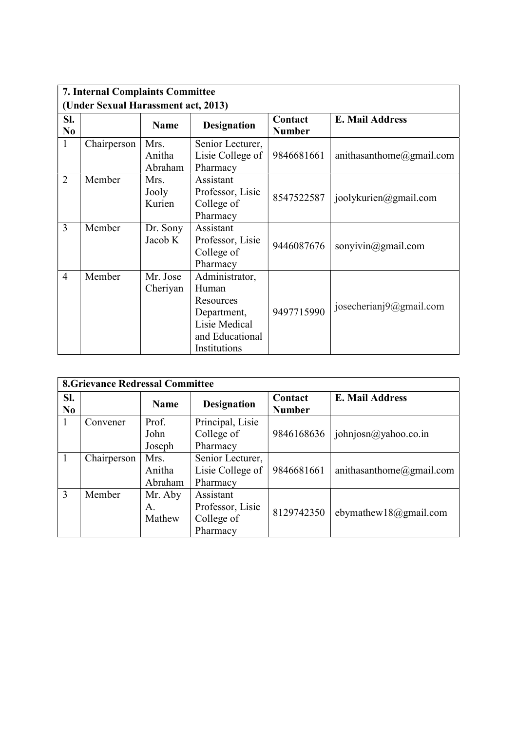| <b>7. Internal Complaints Committee</b> |             |                           |                                                                                                         |                          |                             |  |
|-----------------------------------------|-------------|---------------------------|---------------------------------------------------------------------------------------------------------|--------------------------|-----------------------------|--|
| (Under Sexual Harassment act, 2013)     |             |                           |                                                                                                         |                          |                             |  |
| SI.<br>N <sub>0</sub>                   |             | <b>Name</b>               | <b>Designation</b>                                                                                      | Contact<br><b>Number</b> | <b>E. Mail Address</b>      |  |
| $\mathbf{1}$                            | Chairperson | Mrs.<br>Anitha<br>Abraham | Senior Lecturer,<br>Lisie College of<br>Pharmacy                                                        | 9846681661               | anithasanthome@gmail.com    |  |
| $\overline{2}$                          | Member      | Mrs.<br>Jooly<br>Kurien   | Assistant<br>Professor, Lisie<br>College of<br>Pharmacy                                                 | 8547522587               | joolykurien@gmail.com       |  |
| $\overline{3}$                          | Member      | Dr. Sony<br>Jacob K       | Assistant<br>Professor, Lisie<br>College of<br>Pharmacy                                                 | 9446087676               | sonyivin $@g$ mail.com      |  |
| $\overline{4}$                          | Member      | Mr. Jose<br>Cheriyan      | Administrator,<br>Human<br>Resources<br>Department,<br>Lisie Medical<br>and Educational<br>Institutions | 9497715990               | josecherianj $9@g$ mail.com |  |

|              | <b>8.Grievance Redressal Committee</b> |             |                    |                          |                               |  |  |
|--------------|----------------------------------------|-------------|--------------------|--------------------------|-------------------------------|--|--|
| Sl.<br>No    |                                        | <b>Name</b> | <b>Designation</b> | Contact<br><b>Number</b> | E. Mail Address               |  |  |
| $\mathbf{I}$ | Convener                               | Prof.       | Principal, Lisie   |                          |                               |  |  |
|              |                                        | John        | College of         | 9846168636               | johnjosn $\omega$ yahoo.co.in |  |  |
|              |                                        | Joseph      | Pharmacy           |                          |                               |  |  |
|              | Chairperson                            | Mrs.        | Senior Lecturer,   |                          |                               |  |  |
|              |                                        | Anitha      | Lisie College of   | 9846681661               | anithasanthome@gmail.com      |  |  |
|              |                                        | Abraham     | Pharmacy           |                          |                               |  |  |
| 3            | Member                                 | Mr. Aby     | Assistant          |                          |                               |  |  |
|              |                                        | Α.          | Professor, Lisie   |                          | ebymathew18@gmail.com         |  |  |
|              |                                        | Mathew      | College of         | 8129742350               |                               |  |  |
|              |                                        |             | Pharmacy           |                          |                               |  |  |